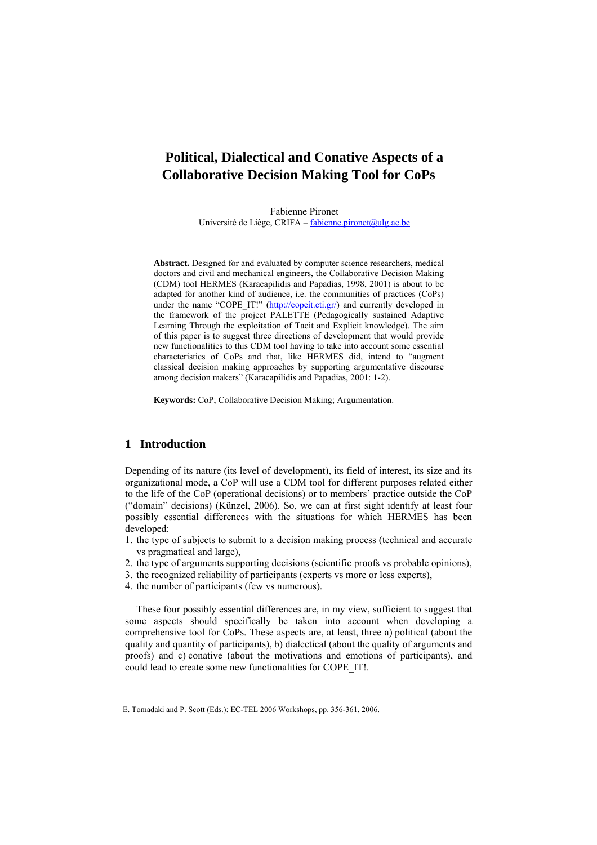# **Political, Dialectical and Conative Aspects of a Collaborative Decision Making Tool for CoPs**

Fabienne Pironet Université de Liège, CRIFA – [fabienne.pironet@ulg.ac.be](mailto:fabienne.pironet@ulg.ac.be)

**Abstract.** Designed for and evaluated by computer science researchers, medical doctors and civil and mechanical engineers, the Collaborative Decision Making (CDM) tool HERMES (Karacapilidis and Papadias, 1998, 2001) is about to be adapted for another kind of audience, i.e. the communities of practices (CoPs) under the name "COPE\_IT!" [\(http://copeit.cti.gr/](http://copeit.cti.gr/)) and currently developed in the framework of the project PALETTE (Pedagogically sustained Adaptive Learning Through the exploitation of Tacit and Explicit knowledge). The aim of this paper is to suggest three directions of development that would provide new functionalities to this CDM tool having to take into account some essential characteristics of CoPs and that, like HERMES did, intend to "augment classical decision making approaches by supporting argumentative discourse among decision makers" (Karacapilidis and Papadias, 2001: 1-2).

**Keywords:** CoP; Collaborative Decision Making; Argumentation.

# **1 Introduction**

Depending of its nature (its level of development), its field of interest, its size and its organizational mode, a CoP will use a CDM tool for different purposes related either to the life of the CoP (operational decisions) or to members' practice outside the CoP ("domain" decisions) (Künzel, 2006). So, we can at first sight identify at least four possibly essential differences with the situations for which HERMES has been developed:

- 1. the type of subjects to submit to a decision making process (technical and accurate vs pragmatical and large),
- 2. the type of arguments supporting decisions (scientific proofs vs probable opinions),
- 3. the recognized reliability of participants (experts vs more or less experts),
- 4. the number of participants (few vs numerous).

These four possibly essential differences are, in my view, sufficient to suggest that some aspects should specifically be taken into account when developing a comprehensive tool for CoPs. These aspects are, at least, three a) political (about the quality and quantity of participants), b) dialectical (about the quality of arguments and proofs) and c) conative (about the motivations and emotions of participants), and could lead to create some new functionalities for COPE\_IT!.

E. Tomadaki and P. Scott (Eds.): EC-TEL 2006 Workshops, pp. 356-361, 2006.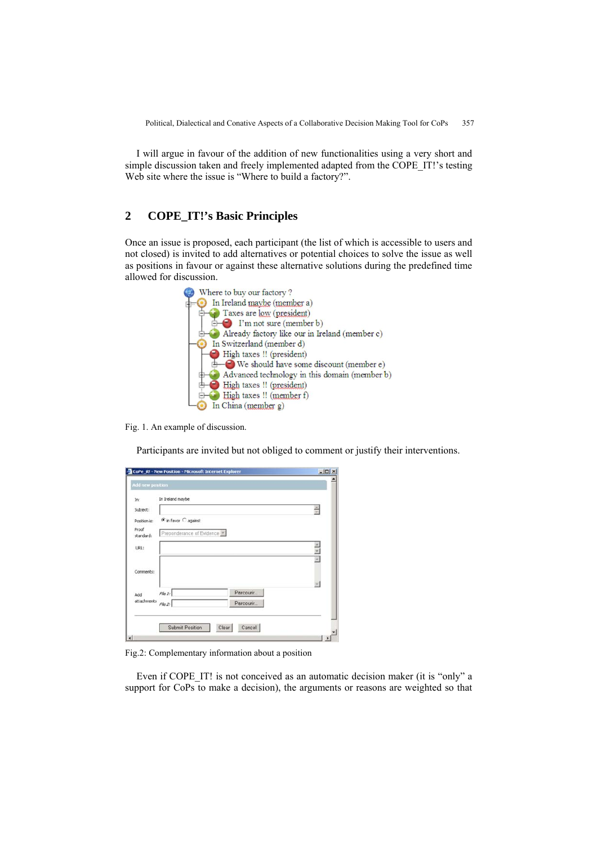I will argue in favour of the addition of new functionalities using a very short and simple discussion taken and freely implemented adapted from the COPE\_IT!'s testing Web site where the issue is "Where to build a factory?".

# **2 COPE\_IT!'s Basic Principles**

Once an issue is proposed, each participant (the list of which is accessible to users and not closed) is invited to add alternatives or potential choices to solve the issue as well as positions in favour or against these alternative solutions during the predefined time allowed for discussion.



Fig. 1. An example of discussion.

Participants are invited but not obliged to comment or justify their interventions.

| 菌纲 |
|----|
|    |
|    |
|    |
|    |
|    |
|    |
|    |
|    |
|    |

Fig.2: Complementary information about a position

Even if COPE IT! is not conceived as an automatic decision maker (it is "only" a support for CoPs to make a decision), the arguments or reasons are weighted so that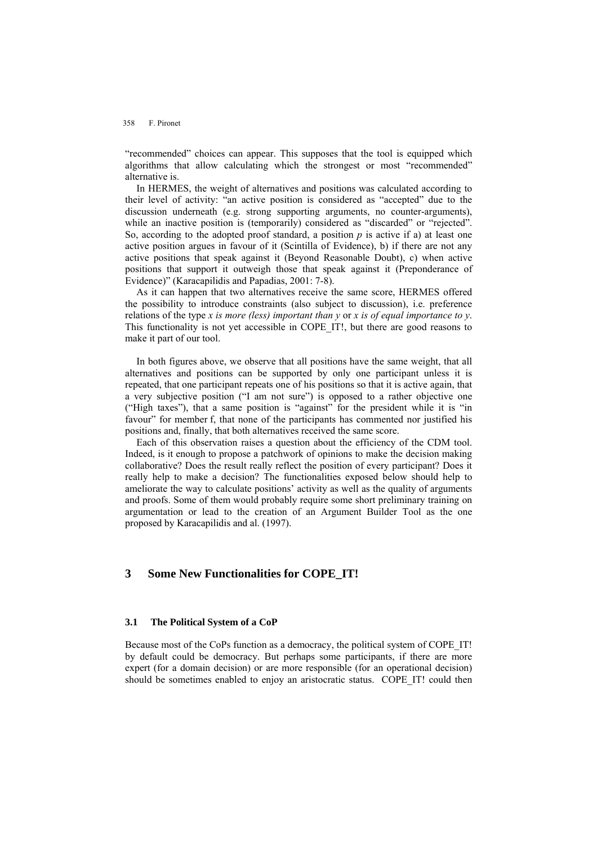#### 358 F. Pironet

"recommended" choices can appear. This supposes that the tool is equipped which algorithms that allow calculating which the strongest or most "recommended" alternative is.

In HERMES, the weight of alternatives and positions was calculated according to their level of activity: "an active position is considered as "accepted" due to the discussion underneath (e.g. strong supporting arguments, no counter-arguments), while an inactive position is (temporarily) considered as "discarded" or "rejected". So, according to the adopted proof standard, a position  $p$  is active if a) at least one active position argues in favour of it (Scintilla of Evidence), b) if there are not any active positions that speak against it (Beyond Reasonable Doubt), c) when active positions that support it outweigh those that speak against it (Preponderance of Evidence)" (Karacapilidis and Papadias, 2001: 7-8).

As it can happen that two alternatives receive the same score, HERMES offered the possibility to introduce constraints (also subject to discussion), i.e. preference relations of the type *x is more (less) important than y* or *x is of equal importance to y*. This functionality is not yet accessible in COPE\_IT!, but there are good reasons to make it part of our tool.

In both figures above, we observe that all positions have the same weight, that all alternatives and positions can be supported by only one participant unless it is repeated, that one participant repeats one of his positions so that it is active again, that a very subjective position ("I am not sure") is opposed to a rather objective one ("High taxes"), that a same position is "against" for the president while it is "in favour" for member f, that none of the participants has commented nor justified his positions and, finally, that both alternatives received the same score.

Each of this observation raises a question about the efficiency of the CDM tool. Indeed, is it enough to propose a patchwork of opinions to make the decision making collaborative? Does the result really reflect the position of every participant? Does it really help to make a decision? The functionalities exposed below should help to ameliorate the way to calculate positions' activity as well as the quality of arguments and proofs. Some of them would probably require some short preliminary training on argumentation or lead to the creation of an Argument Builder Tool as the one proposed by Karacapilidis and al. (1997).

## **3 Some New Functionalities for COPE\_IT!**

### **3.1 The Political System of a CoP**

Because most of the CoPs function as a democracy, the political system of COPE\_IT! by default could be democracy. But perhaps some participants, if there are more expert (for a domain decision) or are more responsible (for an operational decision) should be sometimes enabled to enjoy an aristocratic status. COPE IT! could then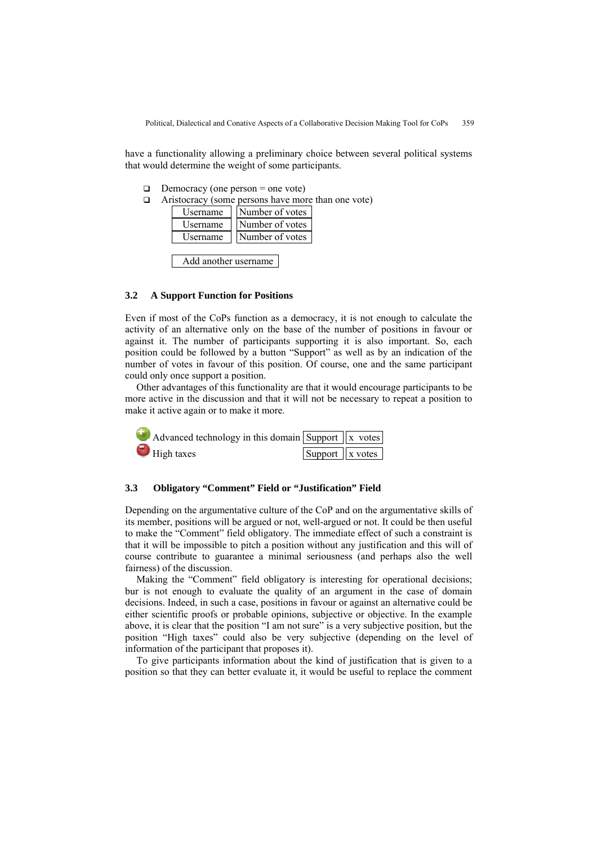Political, Dialectical and Conative Aspects of a Collaborative Decision Making Tool for CoPs 359

have a functionality allowing a preliminary choice between several political systems that would determine the weight of some participants.

- $\Box$  Democracy (one person = one vote)
- $\Box$  Aristocracy (some persons have more than one vote)

| sername         | Number of votes |
|-----------------|-----------------|
| <b>Isername</b> | Number of votes |
| Isername        | Number of votes |

Add another username

#### **3.2 A Support Function for Positions**

Even if most of the CoPs function as a democracy, it is not enough to calculate the activity of an alternative only on the base of the number of positions in favour or against it. The number of participants supporting it is also important. So, each position could be followed by a button "Support" as well as by an indication of the number of votes in favour of this position. Of course, one and the same participant could only once support a position.

Other advantages of this functionality are that it would encourage participants to be more active in the discussion and that it will not be necessary to repeat a position to make it active again or to make it more.



# **3.3 Obligatory "Comment" Field or "Justification" Field**

Depending on the argumentative culture of the CoP and on the argumentative skills of its member, positions will be argued or not, well-argued or not. It could be then useful to make the "Comment" field obligatory. The immediate effect of such a constraint is that it will be impossible to pitch a position without any justification and this will of course contribute to guarantee a minimal seriousness (and perhaps also the well fairness) of the discussion.

Making the "Comment" field obligatory is interesting for operational decisions; bur is not enough to evaluate the quality of an argument in the case of domain decisions. Indeed, in such a case, positions in favour or against an alternative could be either scientific proofs or probable opinions, subjective or objective. In the example above, it is clear that the position "I am not sure" is a very subjective position, but the position "High taxes" could also be very subjective (depending on the level of information of the participant that proposes it).

To give participants information about the kind of justification that is given to a position so that they can better evaluate it, it would be useful to replace the comment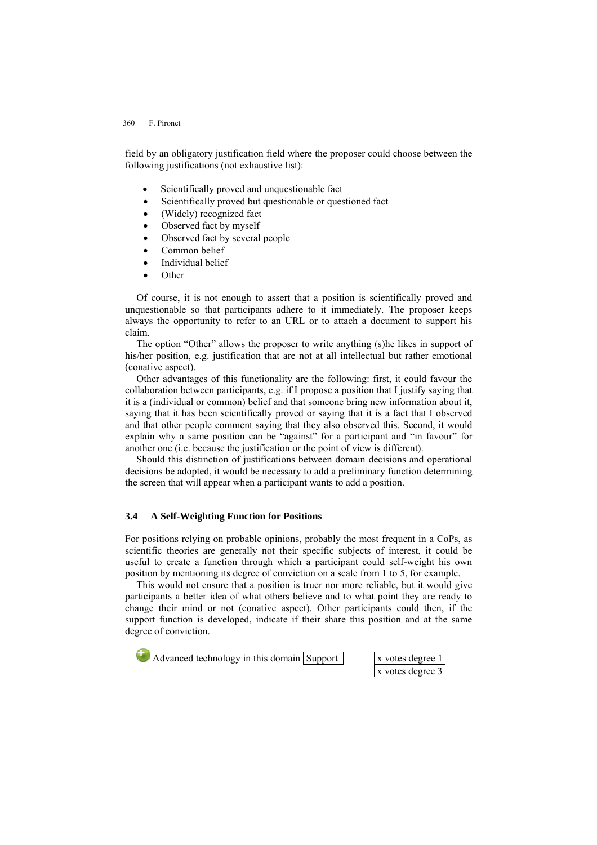#### 360 F. Pironet

field by an obligatory justification field where the proposer could choose between the following justifications (not exhaustive list):

- Scientifically proved and unquestionable fact
- Scientifically proved but questionable or questioned fact
- (Widely) recognized fact
- Observed fact by myself
- Observed fact by several people
- Common belief
- Individual belief
- Other

Of course, it is not enough to assert that a position is scientifically proved and unquestionable so that participants adhere to it immediately. The proposer keeps always the opportunity to refer to an URL or to attach a document to support his claim.

The option "Other" allows the proposer to write anything (s)he likes in support of his/her position, e.g. justification that are not at all intellectual but rather emotional (conative aspect).

Other advantages of this functionality are the following: first, it could favour the collaboration between participants, e.g. if I propose a position that I justify saying that it is a (individual or common) belief and that someone bring new information about it, saying that it has been scientifically proved or saying that it is a fact that I observed and that other people comment saying that they also observed this. Second, it would explain why a same position can be "against" for a participant and "in favour" for another one (i.e. because the justification or the point of view is different).

Should this distinction of justifications between domain decisions and operational decisions be adopted, it would be necessary to add a preliminary function determining the screen that will appear when a participant wants to add a position.

### **3.4 A Self-Weighting Function for Positions**

For positions relying on probable opinions, probably the most frequent in a CoPs, as scientific theories are generally not their specific subjects of interest, it could be useful to create a function through which a participant could self-weight his own position by mentioning its degree of conviction on a scale from 1 to 5, for example.

This would not ensure that a position is truer nor more reliable, but it would give participants a better idea of what others believe and to what point they are ready to change their mind or not (conative aspect). Other participants could then, if the support function is developed, indicate if their share this position and at the same degree of conviction.

 $\Box$  Advanced technology in this domain  $\Box$  Support  $\Box$  x votes degree

x votes degree 3